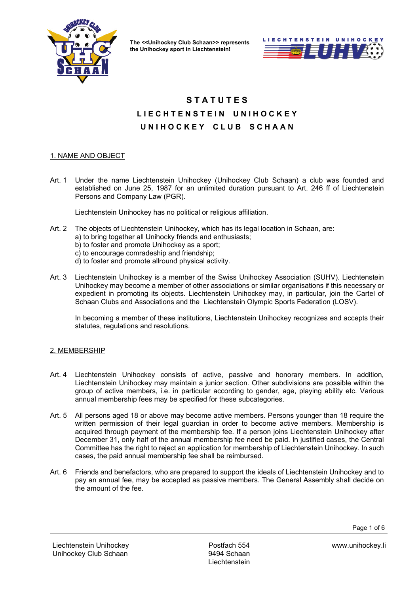



# **S T A T U T E S**  L I E C H T E N S T E I N U N I H O C K E Y **U N I H O C K E Y C L U B S C H A A N**

## 1. NAME AND OBJECT

Art. 1 Under the name Liechtenstein Unihockey (Unihockey Club Schaan) a club was founded and established on June 25, 1987 for an unlimited duration pursuant to Art. 246 ff of Liechtenstein Persons and Company Law (PGR).

Liechtenstein Unihockey has no political or religious affiliation.

- Art. 2 The objects of Liechtenstein Unihockey, which has its legal location in Schaan, are:
	- a) to bring together all Unihocky friends and enthusiasts;
	- b) to foster and promote Unihockey as a sport;
	- c) to encourage comradeship and friendship;
	- d) to foster and promote allround physical activity.
- Art. 3 Liechtenstein Unihockey is a member of the Swiss Unihockey Association (SUHV). Liechtenstein Unihockey may become a member of other associations or similar organisations if this necessary or expedient in promoting its objects. Liechtenstein Unihockey may, in particular, join the Cartel of Schaan Clubs and Associations and the Liechtenstein Olympic Sports Federation (LOSV).

 In becoming a member of these institutions, Liechtenstein Unihockey recognizes and accepts their statutes, regulations and resolutions.

#### 2. MEMBERSHIP

- Art. 4 Liechtenstein Unihockey consists of active, passive and honorary members. In addition, Liechtenstein Unihockey may maintain a junior section. Other subdivisions are possible within the group of active members, i.e. in particular according to gender, age, playing ability etc. Various annual membership fees may be specified for these subcategories.
- Art. 5 All persons aged 18 or above may become active members. Persons younger than 18 require the written permission of their legal guardian in order to become active members. Membership is acquired through payment of the membership fee. If a person joins Liechtenstein Unihockey after December 31, only half of the annual membership fee need be paid. In justified cases, the Central Committee has the right to reject an application for membership of Liechtenstein Unihockey. In such cases, the paid annual membership fee shall be reimbursed.
- Art. 6 Friends and benefactors, who are prepared to support the ideals of Liechtenstein Unihockey and to pay an annual fee, may be accepted as passive members. The General Assembly shall decide on the amount of the fee.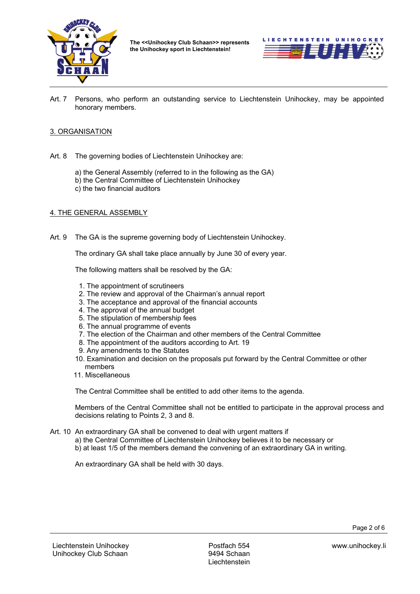



Art. 7 Persons, who perform an outstanding service to Liechtenstein Unihockey, may be appointed honorary members.

## 3. ORGANISATION

- Art. 8 The governing bodies of Liechtenstein Unihockey are:
	- a) the General Assembly (referred to in the following as the GA)
	- b) the Central Committee of Liechtenstein Unihockey
	- c) the two financial auditors

#### 4. THE GENERAL ASSEMBLY

Art. 9 The GA is the supreme governing body of Liechtenstein Unihockey.

The ordinary GA shall take place annually by June 30 of every year.

The following matters shall be resolved by the GA:

- 1. The appointment of scrutineers
- 2. The review and approval of the Chairman's annual report
- 3. The acceptance and approval of the financial accounts
- 4. The approval of the annual budget
- 5. The stipulation of membership fees
- 6. The annual programme of events
- 7. The election of the Chairman and other members of the Central Committee
- 8. The appointment of the auditors according to Art. 19
- 9. Any amendments to the Statutes
- 10. Examination and decision on the proposals put forward by the Central Committee or other members
- 11. Miscellaneous

The Central Committee shall be entitled to add other items to the agenda.

 Members of the Central Committee shall not be entitled to participate in the approval process and decisions relating to Points 2, 3 and 8.

- Art. 10 An extraordinary GA shall be convened to deal with urgent matters if
	- a) the Central Committee of Liechtenstein Unihockey believes it to be necessary or
	- b) at least 1/5 of the members demand the convening of an extraordinary GA in writing.

An extraordinary GA shall be held with 30 days.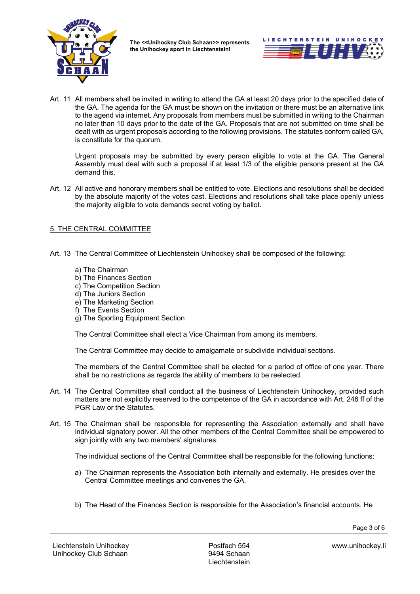



Art. 11 All members shall be invited in writing to attend the GA at least 20 days prior to the specified date of the GA. The agenda for the GA must be shown on the invitation or there must be an alternative link to the agend via internet. Any proposals from members must be submitted in writing to the Chairman no later than 10 days prior to the date of the GA. Proposals that are not submitted on time shall be dealt with as urgent proposals according to the following provisions. The statutes conform called GA, is constitute for the quorum.

 Urgent proposals may be submitted by every person eligible to vote at the GA. The General Assembly must deal with such a proposal if at least 1/3 of the eligible persons present at the GA demand this.

Art. 12 All active and honorary members shall be entitled to vote. Elections and resolutions shall be decided by the absolute majority of the votes cast. Elections and resolutions shall take place openly unless the majority eligible to vote demands secret voting by ballot.

## 5. THE CENTRAL COMMITTEE

- Art. 13 The Central Committee of Liechtenstein Unihockey shall be composed of the following:
	- a) The Chairman
	- b) The Finances Section
	- c) The Competition Section
	- d) The Juniors Section
	- e) The Marketing Section
	- f) The Events Section
	- g) The Sporting Equipment Section

The Central Committee shall elect a Vice Chairman from among its members.

The Central Committee may decide to amalgamate or subdivide individual sections.

 The members of the Central Committee shall be elected for a period of office of one year. There shall be no restrictions as regards the ability of members to be reelected.

- Art. 14 The Central Committee shall conduct all the business of Liechtenstein Unihockey, provided such matters are not explicitly reserved to the competence of the GA in accordance with Art. 246 ff of the PGR Law or the Statutes.
- Art. 15 The Chairman shall be responsible for representing the Association externally and shall have individual signatory power. All the other members of the Central Committee shall be empowered to sign jointly with any two members' signatures.

The individual sections of the Central Committee shall be responsible for the following functions:

- a) The Chairman represents the Association both internally and externally. He presides over the Central Committee meetings and convenes the GA.
- b) The Head of the Finances Section is responsible for the Association's financial accounts. He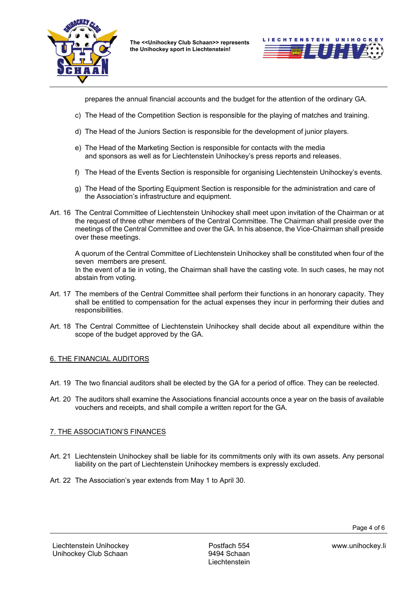



prepares the annual financial accounts and the budget for the attention of the ordinary GA.

- c) The Head of the Competition Section is responsible for the playing of matches and training.
- d) The Head of the Juniors Section is responsible for the development of junior players.
- e) The Head of the Marketing Section is responsible for contacts with the media and sponsors as well as for Liechtenstein Unihockey's press reports and releases.
- f) The Head of the Events Section is responsible for organising Liechtenstein Unihockey's events.
- g) The Head of the Sporting Equipment Section is responsible for the administration and care of the Association's infrastructure and equipment.
- Art. 16 The Central Committee of Liechtenstein Unihockey shall meet upon invitation of the Chairman or at the request of three other members of the Central Committee. The Chairman shall preside over the meetings of the Central Committee and over the GA. In his absence, the Vice-Chairman shall preside over these meetings.

 A quorum of the Central Committee of Liechtenstein Unihockey shall be constituted when four of the seven members are present. In the event of a tie in voting, the Chairman shall have the casting vote. In such cases, he may not abstain from voting.

- Art. 17 The members of the Central Committee shall perform their functions in an honorary capacity. They shall be entitled to compensation for the actual expenses they incur in performing their duties and responsibilities.
- Art. 18 The Central Committee of Liechtenstein Unihockey shall decide about all expenditure within the scope of the budget approved by the GA.

#### 6. THE FINANCIAL AUDITORS

- Art. 19 The two financial auditors shall be elected by the GA for a period of office. They can be reelected.
- Art. 20 The auditors shall examine the Associations financial accounts once a year on the basis of available vouchers and receipts, and shall compile a written report for the GA.

#### 7. THE ASSOCIATION'S FINANCES

- Art. 21 Liechtenstein Unihockey shall be liable for its commitments only with its own assets. Any personal liability on the part of Liechtenstein Unihockey members is expressly excluded.
- Art. 22 The Association's year extends from May 1 to April 30.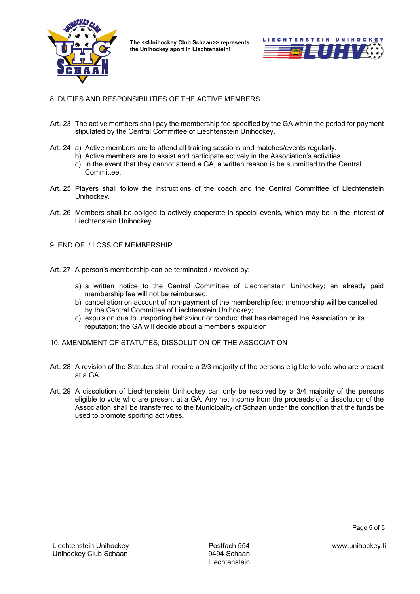



## 8. DUTIES AND RESPONSIBILITIES OF THE ACTIVE MEMBERS

- Art. 23 The active members shall pay the membership fee specified by the GA within the period for payment stipulated by the Central Committee of Liechtenstein Unihockey.
- Art. 24 a) Active members are to attend all training sessions and matches/events regularly.
	- b) Active members are to assist and participate actively in the Association's activities.
		- c) In the event that they cannot attend a GA, a written reason is be submitted to the Central Committee.
- Art. 25 Players shall follow the instructions of the coach and the Central Committee of Liechtenstein Unihockey.
- Art. 26 Members shall be obliged to actively cooperate in special events, which may be in the interest of Liechtenstein Unihockey.

## 9. END OF / LOSS OF MEMBERSHIP

- Art. 27 A person's membership can be terminated / revoked by:
	- a) a written notice to the Central Committee of Liechtenstein Unihockey; an already paid membership fee will not be reimbursed;
	- b) cancellation on account of non-payment of the membership fee; membership will be cancelled by the Central Committee of Liechtenstein Unihockey;
	- c) expulsion due to unsporting behaviour or conduct that has damaged the Association or its reputation; the GA will decide about a member's expulsion.

#### 10. AMENDMENT OF STATUTES, DISSOLUTION OF THE ASSOCIATION

- Art. 28 A revision of the Statutes shall require a 2/3 majority of the persons eligible to vote who are present at a GA.
- Art. 29 A dissolution of Liechtenstein Unihockey can only be resolved by a 3/4 majority of the persons eligible to vote who are present at a GA. Any net income from the proceeds of a dissolution of the Association shall be transferred to the Municipality of Schaan under the condition that the funds be used to promote sporting activities.